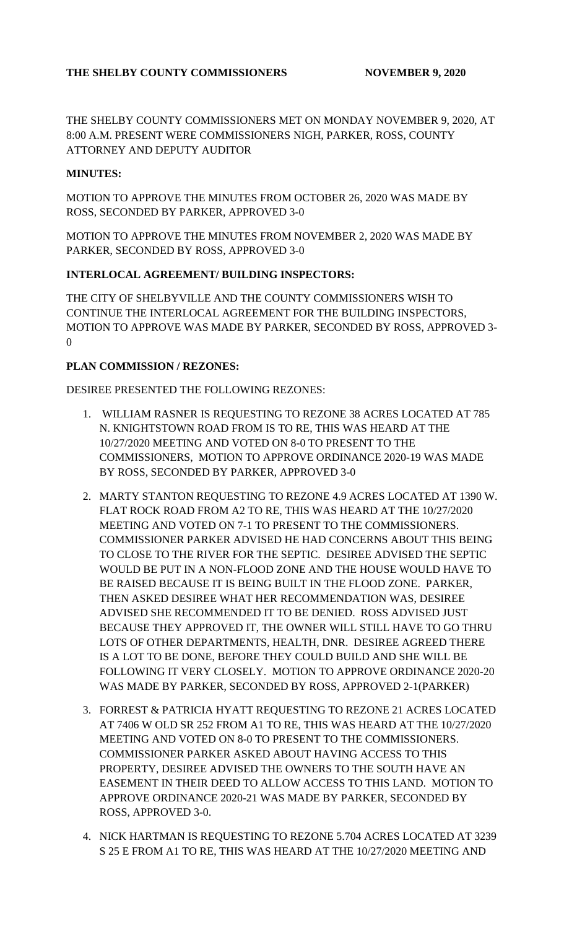## THE SHELBY COUNTY COMMISSIONERS NOVEMBER 9, 2020

THE SHELBY COUNTY COMMISSIONERS MET ON MONDAY NOVEMBER 9, 2020, AT 8:00 A.M. PRESENT WERE COMMISSIONERS NIGH, PARKER, ROSS, COUNTY ATTORNEY AND DEPUTY AUDITOR

### **MINUTES:**

MOTION TO APPROVE THE MINUTES FROM OCTOBER 26, 2020 WAS MADE BY ROSS, SECONDED BY PARKER, APPROVED 3-0

MOTION TO APPROVE THE MINUTES FROM NOVEMBER 2, 2020 WAS MADE BY PARKER, SECONDED BY ROSS, APPROVED 3-0

### **INTERLOCAL AGREEMENT/ BUILDING INSPECTORS:**

THE CITY OF SHELBYVILLE AND THE COUNTY COMMISSIONERS WISH TO CONTINUE THE INTERLOCAL AGREEMENT FOR THE BUILDING INSPECTORS, MOTION TO APPROVE WAS MADE BY PARKER, SECONDED BY ROSS, APPROVED 3- 0

### **PLAN COMMISSION / REZONES:**

DESIREE PRESENTED THE FOLLOWING REZONES:

- 1. WILLIAM RASNER IS REQUESTING TO REZONE 38 ACRES LOCATED AT 785 N. KNIGHTSTOWN ROAD FROM IS TO RE, THIS WAS HEARD AT THE 10/27/2020 MEETING AND VOTED ON 8-0 TO PRESENT TO THE COMMISSIONERS, MOTION TO APPROVE ORDINANCE 2020-19 WAS MADE BY ROSS, SECONDED BY PARKER, APPROVED 3-0
- 2. MARTY STANTON REQUESTING TO REZONE 4.9 ACRES LOCATED AT 1390 W. FLAT ROCK ROAD FROM A2 TO RE, THIS WAS HEARD AT THE 10/27/2020 MEETING AND VOTED ON 7-1 TO PRESENT TO THE COMMISSIONERS. COMMISSIONER PARKER ADVISED HE HAD CONCERNS ABOUT THIS BEING TO CLOSE TO THE RIVER FOR THE SEPTIC. DESIREE ADVISED THE SEPTIC WOULD BE PUT IN A NON-FLOOD ZONE AND THE HOUSE WOULD HAVE TO BE RAISED BECAUSE IT IS BEING BUILT IN THE FLOOD ZONE. PARKER, THEN ASKED DESIREE WHAT HER RECOMMENDATION WAS, DESIREE ADVISED SHE RECOMMENDED IT TO BE DENIED. ROSS ADVISED JUST BECAUSE THEY APPROVED IT, THE OWNER WILL STILL HAVE TO GO THRU LOTS OF OTHER DEPARTMENTS, HEALTH, DNR. DESIREE AGREED THERE IS A LOT TO BE DONE, BEFORE THEY COULD BUILD AND SHE WILL BE FOLLOWING IT VERY CLOSELY. MOTION TO APPROVE ORDINANCE 2020-20 WAS MADE BY PARKER, SECONDED BY ROSS, APPROVED 2-1(PARKER)
- 3. FORREST & PATRICIA HYATT REQUESTING TO REZONE 21 ACRES LOCATED AT 7406 W OLD SR 252 FROM A1 TO RE, THIS WAS HEARD AT THE 10/27/2020 MEETING AND VOTED ON 8-0 TO PRESENT TO THE COMMISSIONERS. COMMISSIONER PARKER ASKED ABOUT HAVING ACCESS TO THIS PROPERTY, DESIREE ADVISED THE OWNERS TO THE SOUTH HAVE AN EASEMENT IN THEIR DEED TO ALLOW ACCESS TO THIS LAND. MOTION TO APPROVE ORDINANCE 2020-21 WAS MADE BY PARKER, SECONDED BY ROSS, APPROVED 3-0.
- 4. NICK HARTMAN IS REQUESTING TO REZONE 5.704 ACRES LOCATED AT 3239 S 25 E FROM A1 TO RE, THIS WAS HEARD AT THE 10/27/2020 MEETING AND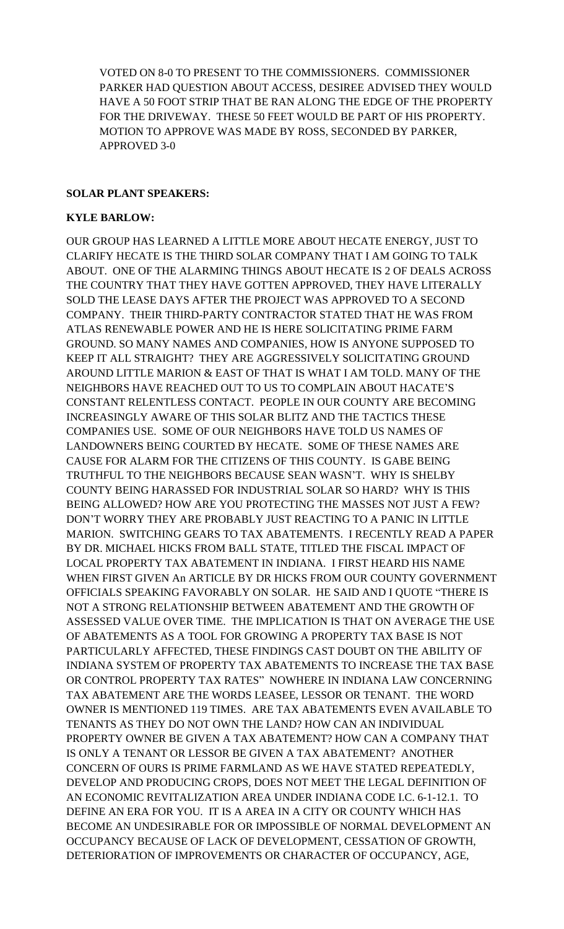VOTED ON 8-0 TO PRESENT TO THE COMMISSIONERS. COMMISSIONER PARKER HAD QUESTION ABOUT ACCESS, DESIREE ADVISED THEY WOULD HAVE A 50 FOOT STRIP THAT BE RAN ALONG THE EDGE OF THE PROPERTY FOR THE DRIVEWAY. THESE 50 FEET WOULD BE PART OF HIS PROPERTY. MOTION TO APPROVE WAS MADE BY ROSS, SECONDED BY PARKER, APPROVED 3-0

#### **SOLAR PLANT SPEAKERS:**

#### **KYLE BARLOW:**

OUR GROUP HAS LEARNED A LITTLE MORE ABOUT HECATE ENERGY, JUST TO CLARIFY HECATE IS THE THIRD SOLAR COMPANY THAT I AM GOING TO TALK ABOUT. ONE OF THE ALARMING THINGS ABOUT HECATE IS 2 OF DEALS ACROSS THE COUNTRY THAT THEY HAVE GOTTEN APPROVED, THEY HAVE LITERALLY SOLD THE LEASE DAYS AFTER THE PROJECT WAS APPROVED TO A SECOND COMPANY. THEIR THIRD-PARTY CONTRACTOR STATED THAT HE WAS FROM ATLAS RENEWABLE POWER AND HE IS HERE SOLICITATING PRIME FARM GROUND. SO MANY NAMES AND COMPANIES, HOW IS ANYONE SUPPOSED TO KEEP IT ALL STRAIGHT? THEY ARE AGGRESSIVELY SOLICITATING GROUND AROUND LITTLE MARION & EAST OF THAT IS WHAT I AM TOLD. MANY OF THE NEIGHBORS HAVE REACHED OUT TO US TO COMPLAIN ABOUT HACATE'S CONSTANT RELENTLESS CONTACT. PEOPLE IN OUR COUNTY ARE BECOMING INCREASINGLY AWARE OF THIS SOLAR BLITZ AND THE TACTICS THESE COMPANIES USE. SOME OF OUR NEIGHBORS HAVE TOLD US NAMES OF LANDOWNERS BEING COURTED BY HECATE. SOME OF THESE NAMES ARE CAUSE FOR ALARM FOR THE CITIZENS OF THIS COUNTY. IS GABE BEING TRUTHFUL TO THE NEIGHBORS BECAUSE SEAN WASN'T. WHY IS SHELBY COUNTY BEING HARASSED FOR INDUSTRIAL SOLAR SO HARD? WHY IS THIS BEING ALLOWED? HOW ARE YOU PROTECTING THE MASSES NOT JUST A FEW? DON'T WORRY THEY ARE PROBABLY JUST REACTING TO A PANIC IN LITTLE MARION. SWITCHING GEARS TO TAX ABATEMENTS. I RECENTLY READ A PAPER BY DR. MICHAEL HICKS FROM BALL STATE, TITLED THE FISCAL IMPACT OF LOCAL PROPERTY TAX ABATEMENT IN INDIANA. I FIRST HEARD HIS NAME WHEN FIRST GIVEN An ARTICLE BY DR HICKS FROM OUR COUNTY GOVERNMENT OFFICIALS SPEAKING FAVORABLY ON SOLAR. HE SAID AND I QUOTE "THERE IS NOT A STRONG RELATIONSHIP BETWEEN ABATEMENT AND THE GROWTH OF ASSESSED VALUE OVER TIME. THE IMPLICATION IS THAT ON AVERAGE THE USE OF ABATEMENTS AS A TOOL FOR GROWING A PROPERTY TAX BASE IS NOT PARTICULARLY AFFECTED, THESE FINDINGS CAST DOUBT ON THE ABILITY OF INDIANA SYSTEM OF PROPERTY TAX ABATEMENTS TO INCREASE THE TAX BASE OR CONTROL PROPERTY TAX RATES" NOWHERE IN INDIANA LAW CONCERNING TAX ABATEMENT ARE THE WORDS LEASEE, LESSOR OR TENANT. THE WORD OWNER IS MENTIONED 119 TIMES. ARE TAX ABATEMENTS EVEN AVAILABLE TO TENANTS AS THEY DO NOT OWN THE LAND? HOW CAN AN INDIVIDUAL PROPERTY OWNER BE GIVEN A TAX ABATEMENT? HOW CAN A COMPANY THAT IS ONLY A TENANT OR LESSOR BE GIVEN A TAX ABATEMENT? ANOTHER CONCERN OF OURS IS PRIME FARMLAND AS WE HAVE STATED REPEATEDLY, DEVELOP AND PRODUCING CROPS, DOES NOT MEET THE LEGAL DEFINITION OF AN ECONOMIC REVITALIZATION AREA UNDER INDIANA CODE I.C. 6-1-12.1. TO DEFINE AN ERA FOR YOU. IT IS A AREA IN A CITY OR COUNTY WHICH HAS BECOME AN UNDESIRABLE FOR OR IMPOSSIBLE OF NORMAL DEVELOPMENT AN OCCUPANCY BECAUSE OF LACK OF DEVELOPMENT, CESSATION OF GROWTH, DETERIORATION OF IMPROVEMENTS OR CHARACTER OF OCCUPANCY, AGE,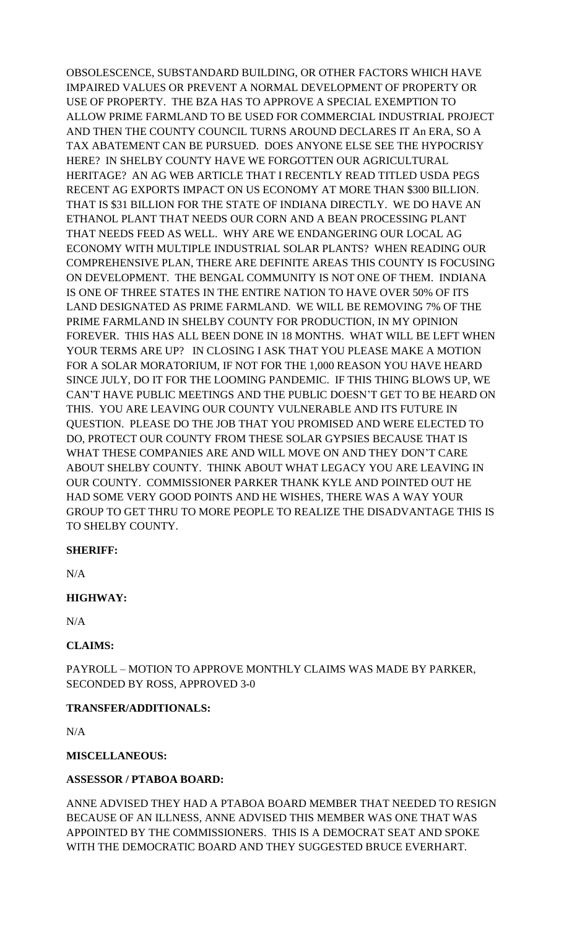OBSOLESCENCE, SUBSTANDARD BUILDING, OR OTHER FACTORS WHICH HAVE IMPAIRED VALUES OR PREVENT A NORMAL DEVELOPMENT OF PROPERTY OR USE OF PROPERTY. THE BZA HAS TO APPROVE A SPECIAL EXEMPTION TO ALLOW PRIME FARMLAND TO BE USED FOR COMMERCIAL INDUSTRIAL PROJECT AND THEN THE COUNTY COUNCIL TURNS AROUND DECLARES IT An ERA, SO A TAX ABATEMENT CAN BE PURSUED. DOES ANYONE ELSE SEE THE HYPOCRISY HERE? IN SHELBY COUNTY HAVE WE FORGOTTEN OUR AGRICULTURAL HERITAGE? AN AG WEB ARTICLE THAT I RECENTLY READ TITLED USDA PEGS RECENT AG EXPORTS IMPACT ON US ECONOMY AT MORE THAN \$300 BILLION. THAT IS \$31 BILLION FOR THE STATE OF INDIANA DIRECTLY. WE DO HAVE AN ETHANOL PLANT THAT NEEDS OUR CORN AND A BEAN PROCESSING PLANT THAT NEEDS FEED AS WELL. WHY ARE WE ENDANGERING OUR LOCAL AG ECONOMY WITH MULTIPLE INDUSTRIAL SOLAR PLANTS? WHEN READING OUR COMPREHENSIVE PLAN, THERE ARE DEFINITE AREAS THIS COUNTY IS FOCUSING ON DEVELOPMENT. THE BENGAL COMMUNITY IS NOT ONE OF THEM. INDIANA IS ONE OF THREE STATES IN THE ENTIRE NATION TO HAVE OVER 50% OF ITS LAND DESIGNATED AS PRIME FARMLAND. WE WILL BE REMOVING 7% OF THE PRIME FARMLAND IN SHELBY COUNTY FOR PRODUCTION, IN MY OPINION FOREVER. THIS HAS ALL BEEN DONE IN 18 MONTHS. WHAT WILL BE LEFT WHEN YOUR TERMS ARE UP? IN CLOSING I ASK THAT YOU PLEASE MAKE A MOTION FOR A SOLAR MORATORIUM, IF NOT FOR THE 1,000 REASON YOU HAVE HEARD SINCE JULY, DO IT FOR THE LOOMING PANDEMIC. IF THIS THING BLOWS UP, WE CAN'T HAVE PUBLIC MEETINGS AND THE PUBLIC DOESN'T GET TO BE HEARD ON THIS. YOU ARE LEAVING OUR COUNTY VULNERABLE AND ITS FUTURE IN QUESTION. PLEASE DO THE JOB THAT YOU PROMISED AND WERE ELECTED TO DO, PROTECT OUR COUNTY FROM THESE SOLAR GYPSIES BECAUSE THAT IS WHAT THESE COMPANIES ARE AND WILL MOVE ON AND THEY DON'T CARE ABOUT SHELBY COUNTY. THINK ABOUT WHAT LEGACY YOU ARE LEAVING IN OUR COUNTY. COMMISSIONER PARKER THANK KYLE AND POINTED OUT HE HAD SOME VERY GOOD POINTS AND HE WISHES, THERE WAS A WAY YOUR GROUP TO GET THRU TO MORE PEOPLE TO REALIZE THE DISADVANTAGE THIS IS TO SHELBY COUNTY.

### **SHERIFF:**

N/A

## **HIGHWAY:**

N/A

## **CLAIMS:**

PAYROLL – MOTION TO APPROVE MONTHLY CLAIMS WAS MADE BY PARKER, SECONDED BY ROSS, APPROVED 3-0

### **TRANSFER/ADDITIONALS:**

 $N/A$ 

### **MISCELLANEOUS:**

## **ASSESSOR / PTABOA BOARD:**

ANNE ADVISED THEY HAD A PTABOA BOARD MEMBER THAT NEEDED TO RESIGN BECAUSE OF AN ILLNESS, ANNE ADVISED THIS MEMBER WAS ONE THAT WAS APPOINTED BY THE COMMISSIONERS. THIS IS A DEMOCRAT SEAT AND SPOKE WITH THE DEMOCRATIC BOARD AND THEY SUGGESTED BRUCE EVERHART.